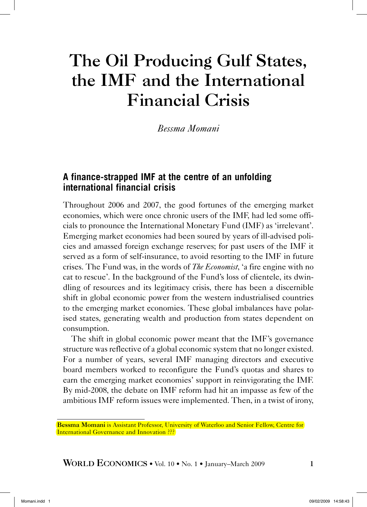# The Oil Producing Gulf States, the IMF and the International Financial Crisis

*Bessma Momani*

## **A finance-strapped IMF at the centre of an unfolding international financial crisis**

Throughout 2006 and 2007, the good fortunes of the emerging market economies, which were once chronic users of the IMF, had led some officials to pronounce the International Monetary Fund (IMF) as 'irrelevant'. Emerging market economies had been soured by years of ill-advised policies and amassed foreign exchange reserves; for past users of the IMF it served as a form of self-insurance, to avoid resorting to the IMF in future crises. The Fund was, in the words of *The Economist*, 'a fire engine with no cat to rescue'. In the background of the Fund's loss of clientele, its dwindling of resources and its legitimacy crisis, there has been a discernible shift in global economic power from the western industrialised countries to the emerging market economies. These global imbalances have polarised states, generating wealth and production from states dependent on consumption.

The shift in global economic power meant that the IMF's governance structure was reflective of a global economic system that no longer existed. For a number of years, several IMF managing directors and executive board members worked to reconfigure the Fund's quotas and shares to earn the emerging market economies' support in reinvigorating the IMF. By mid-2008, the debate on IMF reform had hit an impasse as few of the ambitious IMF reform issues were implemented. Then, in a twist of irony,

Bessma Momani is Assistant Professor, University of Waterloo and Senior Fellow, Centre for **International Governance and Innovation ???**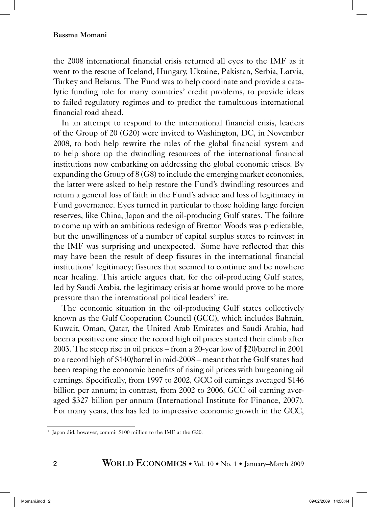the 2008 international financial crisis returned all eyes to the IMF as it went to the rescue of Iceland, Hungary, Ukraine, Pakistan, Serbia, Latvia, Turkey and Belarus. The Fund was to help coordinate and provide a catalytic funding role for many countries' credit problems, to provide ideas to failed regulatory regimes and to predict the tumultuous international financial road ahead.

In an attempt to respond to the international financial crisis, leaders of the Group of 20 (G20) were invited to Washington, DC, in November 2008, to both help rewrite the rules of the global financial system and to help shore up the dwindling resources of the international financial institutions now embarking on addressing the global economic crises. By expanding the Group of 8 (G8) to include the emerging market economies, the latter were asked to help restore the Fund's dwindling resources and return a general loss of faith in the Fund's advice and loss of legitimacy in Fund governance. Eyes turned in particular to those holding large foreign reserves, like China, Japan and the oil-producing Gulf states. The failure to come up with an ambitious redesign of Bretton Woods was predictable, but the unwillingness of a number of capital surplus states to reinvest in the IMF was surprising and unexpected.<sup>1</sup> Some have reflected that this may have been the result of deep fissures in the international financial institutions' legitimacy; fissures that seemed to continue and be nowhere near healing. This article argues that, for the oil-producing Gulf states, led by Saudi Arabia, the legitimacy crisis at home would prove to be more pressure than the international political leaders' ire.

The economic situation in the oil-producing Gulf states collectively known as the Gulf Cooperation Council (GCC), which includes Bahrain, Kuwait, Oman, Qatar, the United Arab Emirates and Saudi Arabia, had been a positive one since the record high oil prices started their climb after 2003. The steep rise in oil prices – from a 20-year low of \$20/barrel in 2001 to a record high of \$140/barrel in mid-2008 – meant that the Gulf states had been reaping the economic benefits of rising oil prices with burgeoning oil earnings. Specifically, from 1997 to 2002, GCC oil earnings averaged \$146 billion per annum; in contrast, from 2002 to 2006, GCC oil earning averaged \$327 billion per annum (International Institute for Finance, 2007). For many years, this has led to impressive economic growth in the GCC,

<sup>1</sup> Japan did, however, commit \$100 million to the IMF at the G20.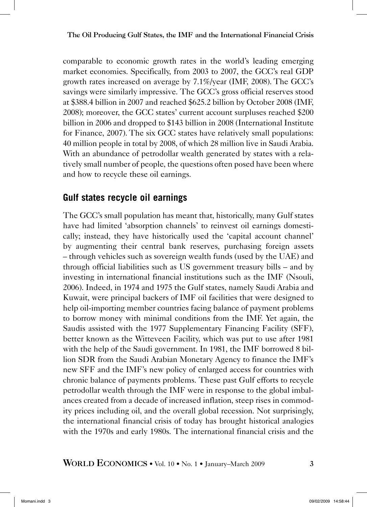comparable to economic growth rates in the world's leading emerging market economies. Specifically, from 2003 to 2007, the GCC's real GDP growth rates increased on average by 7.1%/year (IMF, 2008). The GCC's savings were similarly impressive. The GCC's gross official reserves stood at \$388.4 billion in 2007 and reached \$625.2 billion by October 2008 (IMF, 2008); moreover, the GCC states' current account surpluses reached \$200 billion in 2006 and dropped to \$143 billion in 2008 (International Institute for Finance, 2007). The six GCC states have relatively small populations: 40 million people in total by 2008, of which 28 million live in Saudi Arabia. With an abundance of petrodollar wealth generated by states with a relatively small number of people, the questions often posed have been where and how to recycle these oil earnings.

# **Gulf states recycle oil earnings**

The GCC's small population has meant that, historically, many Gulf states have had limited 'absorption channels' to reinvest oil earnings domestically; instead, they have historically used the 'capital account channel' by augmenting their central bank reserves, purchasing foreign assets – through vehicles such as sovereign wealth funds (used by the UAE) and through official liabilities such as US government treasury bills – and by investing in international financial institutions such as the IMF (Nsouli, 2006). Indeed, in 1974 and 1975 the Gulf states, namely Saudi Arabia and Kuwait, were principal backers of IMF oil facilities that were designed to help oil-importing member countries facing balance of payment problems to borrow money with minimal conditions from the IMF. Yet again, the Saudis assisted with the 1977 Supplementary Financing Facility (SFF), better known as the Witteveen Facility, which was put to use after 1981 with the help of the Saudi government. In 1981, the IMF borrowed 8 billion SDR from the Saudi Arabian Monetary Agency to finance the IMF's new SFF and the IMF's new policy of enlarged access for countries with chronic balance of payments problems. These past Gulf efforts to recycle petrodollar wealth through the IMF were in response to the global imbalances created from a decade of increased inflation, steep rises in commodity prices including oil, and the overall global recession. Not surprisingly, the international financial crisis of today has brought historical analogies with the 1970s and early 1980s. The international financial crisis and the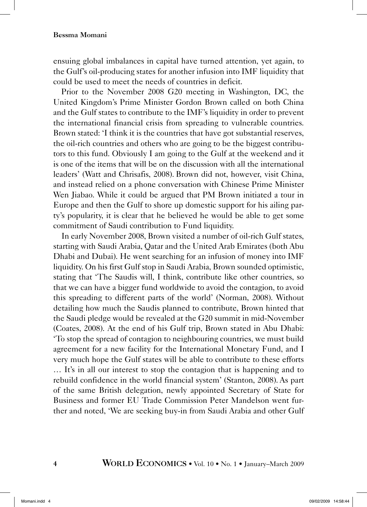ensuing global imbalances in capital have turned attention, yet again, to the Gulf's oil-producing states for another infusion into IMF liquidity that could be used to meet the needs of countries in deficit.

Prior to the November 2008 G20 meeting in Washington, DC, the United Kingdom's Prime Minister Gordon Brown called on both China and the Gulf states to contribute to the IMF's liquidity in order to prevent the international financial crisis from spreading to vulnerable countries. Brown stated: 'I think it is the countries that have got substantial reserves, the oil-rich countries and others who are going to be the biggest contributors to this fund. Obviously I am going to the Gulf at the weekend and it is one of the items that will be on the discussion with all the international leaders' (Watt and Chrisafis, 2008). Brown did not, however, visit China, and instead relied on a phone conversation with Chinese Prime Minister Wen Jiabao. While it could be argued that PM Brown initiated a tour in Europe and then the Gulf to shore up domestic support for his ailing party's popularity, it is clear that he believed he would be able to get some commitment of Saudi contribution to Fund liquidity.

In early November 2008, Brown visited a number of oil-rich Gulf states, starting with Saudi Arabia, Qatar and the United Arab Emirates (both Abu Dhabi and Dubai). He went searching for an infusion of money into IMF liquidity. On his first Gulf stop in Saudi Arabia, Brown sounded optimistic, stating that 'The Saudis will, I think, contribute like other countries, so that we can have a bigger fund worldwide to avoid the contagion, to avoid this spreading to different parts of the world' (Norman, 2008). Without detailing how much the Saudis planned to contribute, Brown hinted that the Saudi pledge would be revealed at the G20 summit in mid-November (Coates, 2008). At the end of his Gulf trip, Brown stated in Abu Dhabi: 'To stop the spread of contagion to neighbouring countries, we must build agreement for a new facility for the International Monetary Fund, and I very much hope the Gulf states will be able to contribute to these efforts … It's in all our interest to stop the contagion that is happening and to rebuild confidence in the world financial system' (Stanton, 2008). As part of the same British delegation, newly appointed Secretary of State for Business and former EU Trade Commission Peter Mandelson went further and noted, 'We are seeking buy-in from Saudi Arabia and other Gulf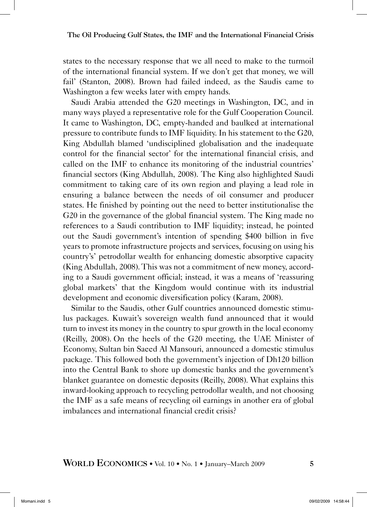states to the necessary response that we all need to make to the turmoilof the international financial system. If we don't get that money, we will fail' (Stanton, 2008). Brown had failed indeed, as the Saudis came to Washington a few weeks later with empty hands.

Saudi Arabia attended the G20 meetings in Washington, DC, and in many ways played a representative role for the Gulf Cooperation Council. It came to Washington, DC, empty-handed and baulked at international pressure to contribute funds to IMF liquidity. In his statement to the G20, King Abdullah blamed 'undisciplined globalisation and the inadequate control for the financial sector' for the international financial crisis, and called on the IMF to enhance its monitoring of the industrial countries' financial sectors (King Abdullah, 2008). The King also highlighted Saudi commitment to taking care of its own region and playing a lead role in ensuring a balance between the needs of oil consumer and producer states. He finished by pointing out the need to better institutionalise the G20 in the governance of the global financial system. The King made no references to a Saudi contribution to IMF liquidity; instead, he pointed out the Saudi government's intention of spending \$400 billion in five years to promote infrastructure projects and services, focusing on using his country's' petrodollar wealth for enhancing domestic absorptive capacity (King Abdullah, 2008).This was not a commitment of new money, according to a Saudi government official; instead, it was a means of 'reassuring global markets' that the Kingdom would continue with its industrial development and economic diversification policy (Karam, 2008).

Similar to the Saudis, other Gulf countries announced domestic stimulus packages. Kuwait's sovereign wealth fund announced that it would turn to invest its money in the country to spur growth in the local economy (Reilly, 2008). On the heels of the G20 meeting, the UAE Minister of Economy, Sultan bin Saeed Al Mansouri, announced a domestic stimulus package. This followed both the government's injection of Dh120 billion into the Central Bank to shore up domestic banks and the government's blanket guarantee on domestic deposits (Reilly, 2008). What explains this inward-looking approach to recycling petrodollar wealth, and not choosing the IMF as a safe means of recycling oil earnings in another era of global imbalances and international financial credit crisis?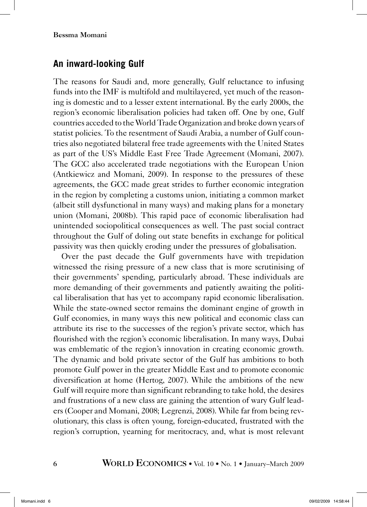## **An inward-looking Gulf**

The reasons for Saudi and, more generally, Gulf reluctance to infusing funds into the IMF is multifold and multilayered, yet much of the reasoning is domestic and to a lesser extent international. By the early 2000s, the region's economic liberalisation policies had taken off. One by one, Gulf countries acceded to the World Trade Organization and broke down years of statist policies. To the resentment of Saudi Arabia, a number of Gulf countries also negotiated bilateral free trade agreements with the United States as part of the US's Middle East Free Trade Agreement (Momani, 2007). The GCC also accelerated trade negotiations with the European Union (Antkiewicz and Momani, 2009). In response to the pressures of these agreements, the GCC made great strides to further economic integration in the region by completing a customs union, initiating a common market (albeit still dysfunctional in many ways) and making plans for a monetary union (Momani, 2008b). This rapid pace of economic liberalisation had unintended sociopolitical consequences as well. The past social contract throughout the Gulf of doling out state benefits in exchange for political passivity was then quickly eroding under the pressures of globalisation.

Over the past decade the Gulf governments have with trepidation witnessed the rising pressure of a new class that is more scrutinising of their governments' spending, particularly abroad. These individuals are more demanding of their governments and patiently awaiting the political liberalisation that has yet to accompany rapid economic liberalisation. While the state-owned sector remains the dominant engine of growth in Gulf economies, in many ways this new political and economic class can attribute its rise to the successes of the region's private sector, which has flourished with the region's economic liberalisation. In many ways, Dubai was emblematic of the region's innovation in creating economic growth. The dynamic and bold private sector of the Gulf has ambitions to both promote Gulf power in the greater Middle East and to promote economic diversification at home (Hertog, 2007). While the ambitions of the new Gulf will require more than significant rebranding to take hold, the desires and frustrations of a new class are gaining the attention of wary Gulf leaders (Cooper and Momani, 2008; Legrenzi, 2008). While far from being revolutionary, this class is often young, foreign-educated, frustrated with the region's corruption, yearning for meritocracy, and, what is most relevant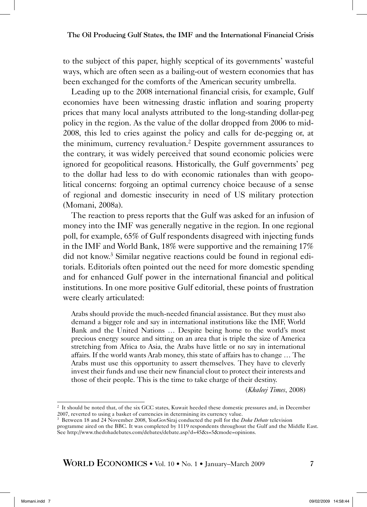to the subject of this paper, highly sceptical of its governments' wasteful ways, which are often seen as a bailing-out of western economies that has been exchanged for the comforts of the American security umbrella.

Leading up to the 2008 international financial crisis, for example, Gulf economies have been witnessing drastic inflation and soaring property prices that many local analysts attributed to the long-standing dollar-peg policy in the region. As the value of the dollar dropped from 2006 to mid-2008, this led to cries against the policy and calls for de-pegging or, at the minimum, currency revaluation.2 Despite government assurances to the contrary, it was widely perceived that sound economic policies were ignored for geopolitical reasons. Historically, the Gulf governments' peg to the dollar had less to do with economic rationales than with geopolitical concerns: forgoing an optimal currency choice because of a sense of regional and domestic insecurity in need of US military protection (Momani, 2008a).

The reaction to press reports that the Gulf was asked for an infusion of money into the IMF was generally negative in the region. In one regional poll, for example, 65% of Gulf respondents disagreed with injecting funds in the IMF and World Bank, 18% were supportive and the remaining 17% did not know.3 Similar negative reactions could be found in regional editorials. Editorials often pointed out the need for more domestic spending and for enhanced Gulf power in the international financial and political institutions. In one more positive Gulf editorial, these points of frustration were clearly articulated:

Arabs should provide the much-needed financial assistance. But they must also demand a bigger role and say in international institutions like the IMF, World Bank and the United Nations … Despite being home to the world's most precious energy source and sitting on an area that is triple the size of America stretching from Africa to Asia, the Arabs have little or no say in international affairs. If the world wants Arab money, this state of affairs has to change … The Arabs must use this opportunity to assert themselves. They have to cleverly invest their funds and use their new financial clout to protect their interests and those of their people. This is the time to take charge of their destiny.

(*Khaleej Times*, 2008)

<sup>2</sup> It should be noted that, of the six GCC states, Kuwait heeded these domestic pressures and, in December 2007, reverted to using a basket of currencies in determining its currency value.

<sup>3</sup> Between 18 and 24 November 2008, YouGovSiraj conducted the poll for the *Doha Debate* television programme aired on the BBC. It was completed by 1119 respondents throughout the Gulf and the Middle East. See http://www.thedohadebates.com/debates/debate.asp?d=45&s=5&mode=opinions.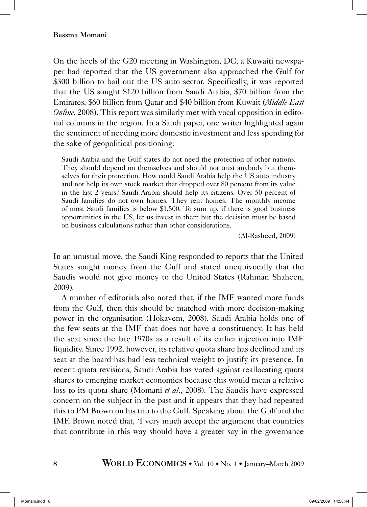On the heels of the G20 meeting in Washington, DC, a Kuwaiti newspaper had reported that the US government also approached the Gulf for \$300 billion to bail out the US auto sector. Specifically, it was reported that the US sought \$120 billion from Saudi Arabia, \$70 billion from the Emirates, \$60 billion from Qatar and \$40 billion from Kuwait (*Middle East Online*, 2008). This report was similarly met with vocal opposition in editorial columns in the region. In a Saudi paper, one writer highlighted again the sentiment of needing more domestic investment and less spending for the sake of geopolitical positioning:

Saudi Arabia and the Gulf states do not need the protection of other nations. They should depend on themselves and should not trust anybody but themselves for their protection. How could Saudi Arabia help the US auto industry and not help its own stock market that dropped over 80 percent from its value in the last 2 years? Saudi Arabia should help its citizens. Over 50 percent of Saudi families do not own homes. They rent homes. The monthly income of most Saudi families is below \$1,500. To sum up, if there is good business opportunities in the US, let us invest in them but the decision must be based on business calculations rather than other considerations.

(Al-Rasheed, 2009)

In an unusual move, the Saudi King responded to reports that the United States sought money from the Gulf and stated unequivocally that the Saudis would not give money to the United States (Rahman Shaheen, 2009).

A number of editorials also noted that, if the IMF wanted more funds from the Gulf, then this should be matched with more decision-making power in the organisation (Hokayem, 2008). Saudi Arabia holds one of the few seats at the IMF that does not have a constituency. It has held the seat since the late 1970s as a result of its earlier injection into IMF liquidity. Since 1992, however, its relative quota share has declined and its seat at the board has had less technical weight to justify its presence. In recent quota revisions, Saudi Arabia has voted against reallocating quota shares to emerging market economies because this would mean a relative loss to its quota share (Momani *et al*., 2008). The Saudis have expressed concern on the subject in the past and it appears that they had repeated this to PM Brown on his trip to the Gulf. Speaking about the Gulf and the IMF, Brown noted that, 'I very much accept the argument that countries that contribute in this way should have a greater say in the governance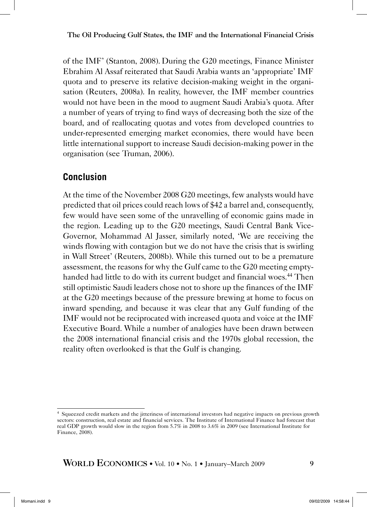of the IMF' (Stanton, 2008). During the G20 meetings, Finance Minister Ebrahim Al Assaf reiterated that Saudi Arabia wants an 'appropriate' IMF quota and to preserve its relative decision-making weight in the organisation (Reuters, 2008a). In reality, however, the IMF member countries would not have been in the mood to augment Saudi Arabia's quota. After a number of years of trying to find ways of decreasing both the size of the board, and of reallocating quotas and votes from developed countries to under-represented emerging market economies, there would have been little international support to increase Saudi decision-making power in the organisation (see Truman, 2006).

# **Conclusion**

At the time of the November 2008 G20 meetings, few analysts would have predicted that oil prices could reach lows of \$42 a barrel and, consequently, few would have seen some of the unravelling of economic gains made in the region. Leading up to the G20 meetings, Saudi Central Bank Vice-Governor, Mohammad Al Jasser, similarly noted, 'We are receiving the winds flowing with contagion but we do not have the crisis that is swirling in Wall Street' (Reuters, 2008b). While this turned out to be a premature assessment, the reasons for why the Gulf came to the G20 meeting emptyhanded had little to do with its current budget and financial woes.<sup>44</sup> Then still optimistic Saudi leaders chose not to shore up the finances of the IMF at the G20 meetings because of the pressure brewing at home to focus on inward spending, and because it was clear that any Gulf funding of the IMF would not be reciprocated with increased quota and voice at the IMF Executive Board. While a number of analogies have been drawn between the 2008 international financial crisis and the 1970s global recession, the reality often overlooked is that the Gulf is changing.

<sup>4</sup> Squeezed credit markets and the jitteriness of international investors had negative impacts on previous growth sectors: construction, real estate and financial services. The Institute of International Finance had forecast that real GDP growth would slow in the region from 5.7% in 2008 to 3.6% in 2009 (see International Institute for Finance, 2008).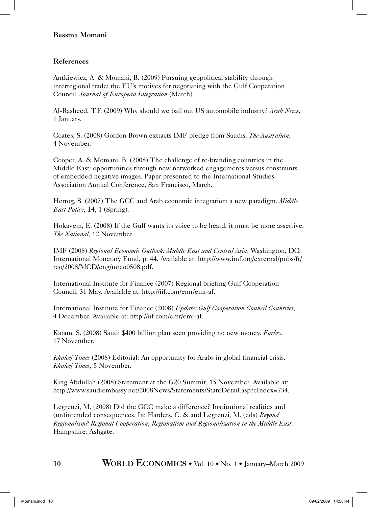## References

Antkiewicz, A. & Momani, B. (2009) Pursuing geopolitical stability through interregional trade: the EU's motives for negotiating with the Gulf Cooperation Council. *Journal of European Integration* (March).

Al-Rasheed, T.F. (2009) Why should we bail out US automobile industry? *Arab News*, 1 January.

Coates, S. (2008) Gordon Brown extracts IMF pledge from Saudis. *The Australian*, 4 November.

Cooper, A. & Momani, B. (2008) The challenge of re-branding countries in the Middle East: opportunities through new networked engagements versus constraints of embedded negative images. Paper presented to the International Studies Association Annual Conference, San Francisco, March.

Hertog, S. (2007) The GCC and Arab economic integration: a new paradigm. *Middle East Policy*, 14, 1 (Spring).

Hokayem, E. (2008) If the Gulf wants its voice to be heard, it must be more assertive. *The National*, 12 November.

IMF (2008) *Regional Economic Outlook: Middle East and Central Asia*. Washington, DC: International Monetary Fund, p. 44. Available at: http://www.imf.org/external/pubs/ft/ reo/2008/MCD/eng/mreo0508.pdf.

International Institute for Finance (2007) Regional briefing Gulf Cooperation Council, 31 May. Available at: http://iif.com/emr/emr-af.

International Institute for Finance (2008) *Update: Gulf Cooperation Council Countries*, 4 December. Available at: http://iif.com/emr/emr-af.

Karam, S. (2008) Saudi \$400 billion plan seen providing no new money. *Forbes*, 17 November.

*Khaleej Times* (2008) Editorial: An opportunity for Arabs in global financial crisis. *Khaleej Times*, 5 November.

King Abdullah (2008) Statement at the G20 Summit, 15 November. Available at: http://www.saudiembassy.net/2008News/Statements/StateDetail.asp?cIndex=734.

Legrenzi, M. (2008) Did the GCC make a difference? Institutional realities and (un)intended consequences. In: Harders, C. & and Legrenzi, M. (eds) *Beyond Regionalism? Regional Cooperation, Regionalism and Regionalization in the Middle East*. Hampshire: Ashgate.